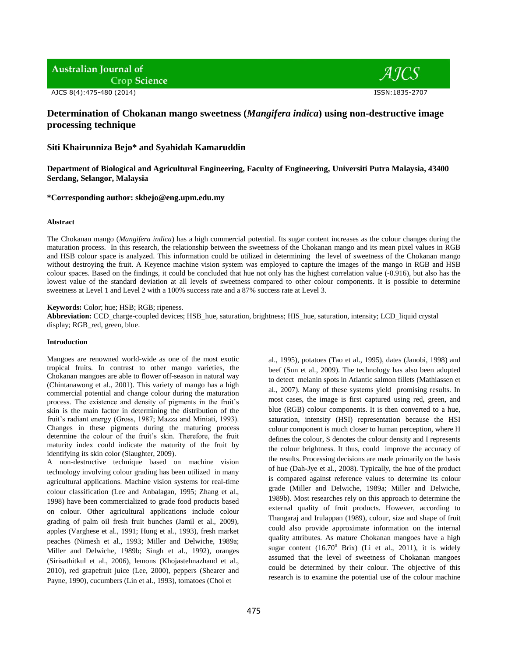# **Australian Journal of**

**Crop Science** 

AJCS 8(4):475-480 (2014) ISSN:1835-2707



## **Determination of Chokanan mango sweetness (***Mangifera indica***) using non-destructive image processing technique**

**Siti Khairunniza Bejo\* and Syahidah Kamaruddin**

**Department of Biological and Agricultural Engineering, Faculty of Engineering, Universiti Putra Malaysia, 43400 Serdang, Selangor, Malaysia**

## **\*Corresponding author: skbejo@eng.upm.edu.my**

## **Abstract**

The Chokanan mango (*Mangifera indica*) has a high commercial potential. Its sugar content increases as the colour changes during the maturation process. In this research, the relationship between the sweetness of the Chokanan mango and its mean pixel values in RGB and HSB colour space is analyzed. This information could be utilized in determining the level of sweetness of the Chokanan mango without destroying the fruit. A Keyence machine vision system was employed to capture the images of the mango in RGB and HSB colour spaces. Based on the findings, it could be concluded that hue not only has the highest correlation value (-0.916), but also has the lowest value of the standard deviation at all levels of sweetness compared to other colour components. It is possible to determine sweetness at Level 1 and Level 2 with a 100% success rate and a 87% success rate at Level 3.

## **Keywords:** Color; hue; HSB; RGB; ripeness.

**Abbreviation:** CCD\_charge-coupled devices; HSB\_hue, saturation, brightness; HIS\_hue, saturation, intensity; LCD\_liquid crystal display; RGB\_red, green, blue.

## **Introduction**

Mangoes are renowned world-wide as one of the most exotic tropical fruits. In contrast to other mango varieties, the Chokanan mangoes are able to flower off-season in natural way (Chintanawong et al., 2001). This variety of mango has a high commercial potential and change colour during the maturation process. The existence and density of pigments in the fruit's skin is the main factor in determining the distribution of the fruit's radiant energy (Gross, 1987; Mazza and Miniati, 1993). Changes in these pigments during the maturing process determine the colour of the fruit's skin. Therefore, the fruit maturity index could indicate the maturity of the fruit by identifying its skin color (Slaughter, 2009).

A non-destructive technique based on machine vision technology involving colour grading has been utilized in many agricultural applications. Machine vision systems for real-time colour classification (Lee and Anbalagan, 1995; Zhang et al., 1998) have been commercialized to grade food products based on colour. Other agricultural applications include colour grading of palm oil fresh fruit bunches (Jamil et al., 2009), apples (Varghese et al., 1991; Hung et al., 1993), fresh market peaches (Nimesh et al., 1993; Miller and Delwiche, 1989a; Miller and Delwiche, 1989b; Singh et al., 1992), oranges (Sirisathitkul et al., 2006), lemons (Khojastehnazhand et al., 2010), red grapefruit juice (Lee, 2000), peppers (Shearer and Payne, 1990), cucumbers (Lin et al., 1993), tomatoes (Choi et

al., 1995), potatoes (Tao et al., 1995), dates (Janobi, 1998) and beef (Sun et al., 2009). The technology has also been adopted to detect melanin spots in Atlantic salmon fillets (Mathiassen et al., 2007). Many of these systems yield promising results. In most cases, the image is first captured using red, green, and blue (RGB) colour components. It is then converted to a hue, saturation, intensity (HSI) representation because the HSI colour component is much closer to human perception, where H defines the colour, S denotes the colour density and I represents the colour brightness. It thus, could improve the accuracy of the results. Processing decisions are made primarily on the basis of hue (Dah-Jye et al., 2008). Typically, the hue of the product is compared against reference values to determine its colour grade (Miller and Delwiche, 1989a; Miller and Delwiche, 1989b). Most researches rely on this approach to determine the external quality of fruit products. However, according to Thangaraj and Irulappan (1989), colour, size and shape of fruit could also provide approximate information on the internal quality attributes. As mature Chokanan mangoes have a high sugar content  $(16.70^{\circ}$  Brix) (Li et al., 2011), it is widely assumed that the level of sweetness of Chokanan mangoes could be determined by their colour. The objective of this research is to examine the potential use of the colour machine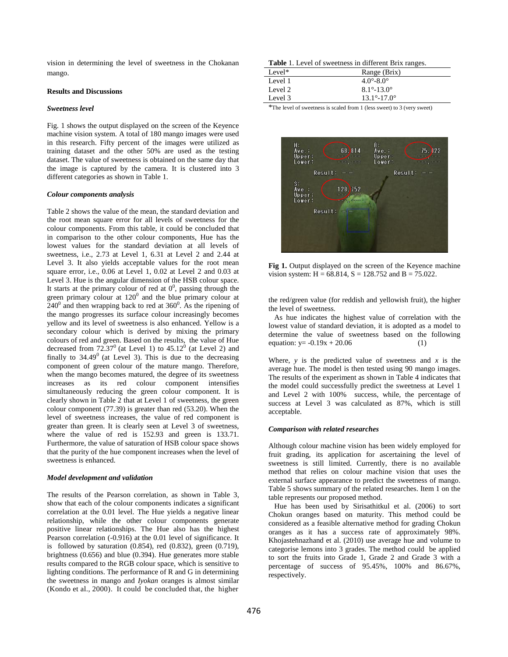vision in determining the level of sweetness in the Chokanan mango.

#### **Results and Discussions**

## *Sweetness level*

Fig. 1 shows the output displayed on the screen of the Keyence machine vision system. A total of 180 mango images were used in this research. Fifty percent of the images were utilized as training dataset and the other 50% are used as the testing dataset. The value of sweetness is obtained on the same day that the image is captured by the camera. It is clustered into 3 different categories as shown in Table 1.

#### *Colour components analysis*

Table 2 shows the value of the mean, the standard deviation and the root mean square error for all levels of sweetness for the colour components. From this table, it could be concluded that in comparison to the other colour components, Hue has the lowest values for the standard deviation at all levels of sweetness, i.e., 2.73 at Level 1, 6.31 at Level 2 and 2.44 at Level 3. It also yields acceptable values for the root mean square error, i.e., 0.06 at Level 1, 0.02 at Level 2 and 0.03 at Level 3. Hue is the angular dimension of the HSB colour space. It starts at the primary colour of red at  $0^0$ , passing through the green primary colour at  $120^0$  and the blue primary colour at  $240^{\circ}$  and then wrapping back to red at 360 $^{\circ}$ . As the ripening of the mango progresses its surface colour increasingly becomes yellow and its level of sweetness is also enhanced. Yellow is a secondary colour which is derived by mixing the primary colours of red and green. Based on the results, the value of Hue decreased from  $72.37^{\circ}$  (at Level 1) to  $45.12^{\circ}$  (at Level 2) and finally to  $34.49^{\circ}$  (at Level 3). This is due to the decreasing component of green colour of the mature mango. Therefore, when the mango becomes matured, the degree of its sweetness increases as its red colour component intensifies simultaneously reducing the green colour component. It is clearly shown in Table 2 that at Level 1 of sweetness, the green colour component (77.39) is greater than red (53.20). When the level of sweetness increases, the value of red component is greater than green. It is clearly seen at Level 3 of sweetness, where the value of red is 152.93 and green is 133.71. Furthermore, the value of saturation of HSB colour space shows that the purity of the hue component increases when the level of sweetness is enhanced.

#### *Model development and validation*

The results of the Pearson correlation, as shown in Table 3, show that each of the colour components indicates a significant correlation at the 0.01 level. The Hue yields a negative linear relationship, while the other colour components generate positive linear relationships. The Hue also has the highest Pearson correlation (-0.916) at the 0.01 level of significance. It is followed by saturation (0.854), red (0.832), green (0.719), brightness (0.656) and blue (0.394). Hue generates more stable results compared to the RGB colour space, which is sensitive to lighting conditions. The performance of R and G in determining the sweetness in mango and *Iyokan* oranges is almost similar (Kondo et al., 2000). It could be concluded that, the higher

| Level <sup><math>*</math></sup> | Range (Brix)                  |  |
|---------------------------------|-------------------------------|--|
| Level 1                         | $4.0^{\circ} - 8.0^{\circ}$   |  |
| Level 2                         | $8.1^{\circ} - 13.0^{\circ}$  |  |
| Level 3                         | $13.1^{\circ} - 17.0^{\circ}$ |  |

\*The level of sweetness is scaled from 1 (less sweet) to 3 (very sweet)



**Fig 1.** Output displayed on the screen of the Keyence machine vision system:  $H = 68.814$ ,  $S = 128.752$  and  $B = 75.022$ .

the red/green value (for reddish and yellowish fruit), the higher the level of sweetness.

As hue indicates the highest value of correlation with the lowest value of standard deviation, it is adopted as a model to determine the value of sweetness based on the following equation:  $y = -0.19x + 20.06$  (1)

Where,  $y$  is the predicted value of sweetness and  $x$  is the average hue. The model is then tested using 90 mango images. The results of the experiment as shown in Table 4 indicates that the model could successfully predict the sweetness at Level 1 and Level 2 with 100% success, while, the percentage of success at Level 3 was calculated as 87%, which is still acceptable.

## *Comparison with related researches*

Although colour machine vision has been widely employed for fruit grading, its application for ascertaining the level of sweetness is still limited. Currently, there is no available method that relies on colour machine vision that uses the external surface appearance to predict the sweetness of mango. Table 5 shows summary of the related researches. Item 1 on the table represents our proposed method.

Hue has been used by Sirisathitkul et al. (2006) to sort Chokun oranges based on maturity. This method could be considered as a feasible alternative method for grading Chokun oranges as it has a success rate of approximately 98%. Khojastehnazhand et al. (2010) use average hue and volume to categorise lemons into 3 grades. The method could be applied to sort the fruits into Grade 1, Grade 2 and Grade 3 with a percentage of success of 95.45%, 100% and 86.67%, respectively.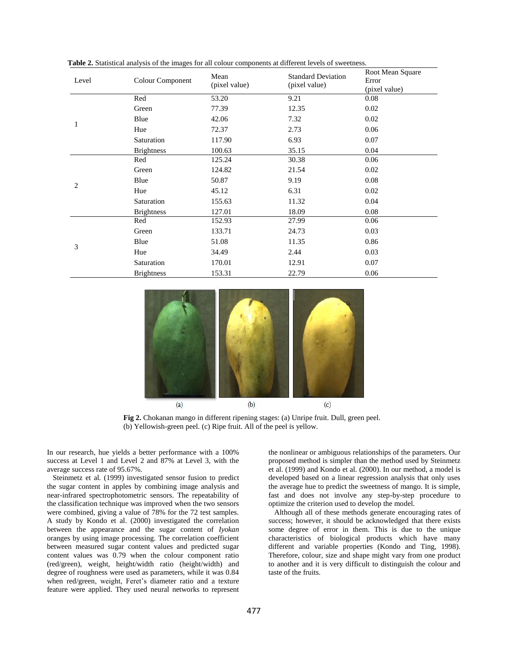| Level | Colour Component  | Mean<br>(pixel value) | <b>Standard Deviation</b><br>(pixel value) | Root Mean Square<br>Error<br>(pixel value) |
|-------|-------------------|-----------------------|--------------------------------------------|--------------------------------------------|
| 1     | Red               | 53.20                 | 9.21                                       | 0.08                                       |
|       | Green             | 77.39                 | 12.35                                      | 0.02                                       |
|       | Blue              | 42.06                 | 7.32                                       | 0.02                                       |
|       | Hue               | 72.37                 | 2.73                                       | 0.06                                       |
|       | Saturation        | 117.90                | 6.93                                       | 0.07                                       |
|       | <b>Brightness</b> | 100.63                | 35.15                                      | 0.04                                       |
|       | Red               | 125.24                | 30.38                                      | 0.06                                       |
|       | Green             | 124.82                | 21.54                                      | 0.02                                       |
|       | Blue              | 50.87                 | 9.19                                       | 0.08                                       |
| 2     | Hue               | 45.12                 | 6.31                                       | 0.02                                       |
|       | Saturation        | 155.63                | 11.32                                      | 0.04                                       |
|       | <b>Brightness</b> | 127.01                | 18.09                                      | 0.08                                       |
| 3     | Red               | 152.93                | 27.99                                      | 0.06                                       |
|       | Green             | 133.71                | 24.73                                      | 0.03                                       |
|       | Blue              | 51.08                 | 11.35                                      | 0.86                                       |
|       | Hue               | 34.49                 | 2.44                                       | 0.03                                       |
|       | Saturation        | 170.01                | 12.91                                      | 0.07                                       |
|       | <b>Brightness</b> | 153.31                | 22.79                                      | 0.06                                       |

**Table 2.** Statistical analysis of the images for all colour components at different levels of sweetness.



**Fig 2.** Chokanan mango in different ripening stages: (a) Unripe fruit. Dull, green peel. (b) Yellowish-green peel. (c) Ripe fruit. All of the peel is yellow.

In our research, hue yields a better performance with a 100% success at Level 1 and Level 2 and 87% at Level 3, with the average success rate of 95.67%.

Steinmetz et al. (1999) investigated sensor fusion to predict the sugar content in apples by combining image analysis and near-infrared spectrophotometric sensors. The repeatability of the classification technique was improved when the two sensors were combined, giving a value of 78% for the 72 test samples. A study by Kondo et al. (2000) investigated the correlation between the appearance and the sugar content of *Iyokan* oranges by using image processing. The correlation coefficient between measured sugar content values and predicted sugar content values was 0.79 when the colour component ratio (red/green), weight, height/width ratio (height/width) and degree of roughness were used as parameters, while it was 0.84 when red/green, weight, Feret's diameter ratio and a texture feature were applied. They used neural networks to represent

the nonlinear or ambiguous relationships of the parameters. Our proposed method is simpler than the method used by Steinmetz et al. (1999) and Kondo et al. (2000). In our method, a model is developed based on a linear regression analysis that only uses the average hue to predict the sweetness of mango. It is simple, fast and does not involve any step-by-step procedure to optimize the criterion used to develop the model.

Although all of these methods generate encouraging rates of success; however, it should be acknowledged that there exists some degree of error in them. This is due to the unique characteristics of biological products which have many different and variable properties (Kondo and Ting, 1998). Therefore, colour, size and shape might vary from one product to another and it is very difficult to distinguish the colour and taste of the fruits.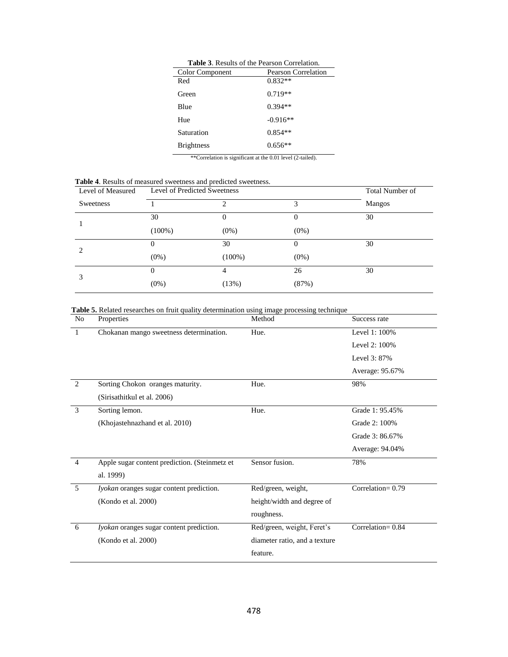| <b>Table 3.</b> Results of the Pearson Correlation.                                                                                                                        |                            |  |  |
|----------------------------------------------------------------------------------------------------------------------------------------------------------------------------|----------------------------|--|--|
| Color Component                                                                                                                                                            | <b>Pearson Correlation</b> |  |  |
| Red                                                                                                                                                                        | $0.832**$                  |  |  |
| Green                                                                                                                                                                      | $0.719**$                  |  |  |
| Blue                                                                                                                                                                       | $0.394**$                  |  |  |
| Hue                                                                                                                                                                        | $-0.916**$                 |  |  |
| Saturation                                                                                                                                                                 | $0.854**$                  |  |  |
| <b>Brightness</b>                                                                                                                                                          | $0.656**$                  |  |  |
| $*$ $*$ $\alpha$ - $\alpha$ - $\alpha$ - $\alpha$ - $\alpha$ - $\alpha$ - $\alpha$ - $\alpha$ - $\alpha$ - $\alpha$ - $\alpha$ - $\alpha$ - $\alpha$ - $\alpha$ - $\alpha$ |                            |  |  |

\*\*Correlation is significant at the 0.01 level (2-tailed).

 **Table 4**. Results of measured sweetness and predicted sweetness.

| Level of Measured |                | Level of Predicted Sweetness |          |        |
|-------------------|----------------|------------------------------|----------|--------|
| Sweetness         |                | 2                            | 3        | Mangos |
|                   | 30             | 0                            | $\theta$ | 30     |
|                   | $(100\%)$      | $(0\%)$                      | $(0\%)$  |        |
| $\mathcal{L}$     | $\overline{0}$ | 30                           | $\Omega$ | 30     |
|                   | $(0\%)$        | $(100\%)$                    | $(0\%)$  |        |
| 3                 | 0              | 4                            | 26       | 30     |
|                   | $(0\%)$        | (13%)                        | (87%)    |        |

 **Table 5.** Related researches on fruit quality determination using image processing technique

| N <sub>o</sub> | Properties                                    | Method                        | Success rate        |
|----------------|-----------------------------------------------|-------------------------------|---------------------|
| 1              | Chokanan mango sweetness determination.       | Hue.                          | Level 1: 100%       |
|                |                                               |                               | Level 2: 100%       |
|                |                                               |                               | Level 3: 87%        |
|                |                                               |                               | Average: 95.67%     |
| 2              | Sorting Chokon oranges maturity.              | Hue.                          | 98%                 |
|                | (Sirisathitkul et al. 2006)                   |                               |                     |
| 3              | Sorting lemon.                                | Hue.                          | Grade 1: 95.45%     |
|                | (Khojastehnazhand et al. 2010)                |                               | Grade 2: 100%       |
|                |                                               |                               | Grade 3: 86.67%     |
|                |                                               |                               | Average: 94.04%     |
| $\overline{4}$ | Apple sugar content prediction. (Steinmetz et | Sensor fusion.                | 78%                 |
|                | al. 1999)                                     |                               |                     |
| 5              | Iyokan oranges sugar content prediction.      | Red/green, weight,            | Correlation= $0.79$ |
|                | (Kondo et al. 2000)                           | height/width and degree of    |                     |
|                |                                               | roughness.                    |                     |
| 6              | Iyokan oranges sugar content prediction.      | Red/green, weight, Feret's    | Correlation=0.84    |
|                | (Kondo et al. 2000)                           | diameter ratio, and a texture |                     |
|                |                                               | feature.                      |                     |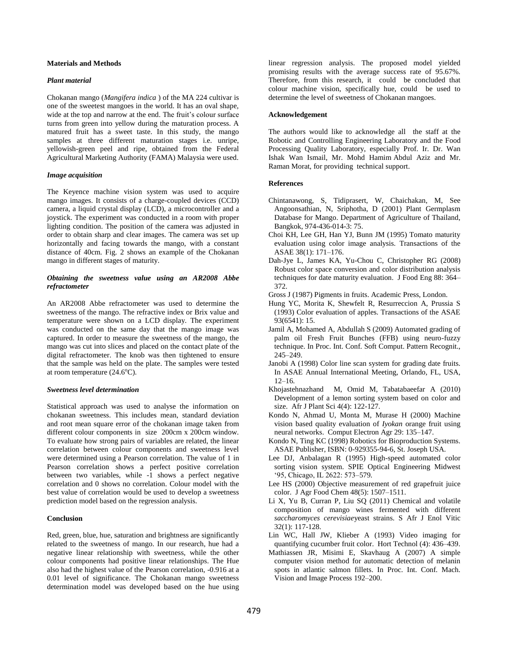## **Materials and Methods**

#### *Plant material*

Chokanan mango (*Mangifera indica* ) of the MA 224 cultivar is one of the sweetest mangoes in the world. It has an oval shape, wide at the top and narrow at the end. The fruit's colour surface turns from green into yellow during the maturation process. A matured fruit has a sweet taste. In this study, the mango samples at three different maturation stages i.e. unripe, yellowish-green peel and ripe, obtained from the Federal Agricultural Marketing Authority (FAMA) Malaysia were used.

#### *Image acquisition*

The Keyence machine vision system was used to acquire mango images. It consists of a charge-coupled devices (CCD) camera, a liquid crystal display (LCD), a microcontroller and a joystick. The experiment was conducted in a room with proper lighting condition. The position of the camera was adjusted in order to obtain sharp and clear images. The camera was set up horizontally and facing towards the mango, with a constant distance of 40cm. Fig. 2 shows an example of the Chokanan mango in different stages of maturity.

## *Obtaining the sweetness value using an AR2008 Abbe refractometer*

An AR2008 Abbe refractometer was used to determine the sweetness of the mango. The refractive index or Brix value and temperature were shown on a LCD display. The experiment was conducted on the same day that the mango image was captured. In order to measure the sweetness of the mango, the mango was cut into slices and placed on the contact plate of the digital refractometer. The knob was then tightened to ensure that the sample was held on the plate. The samples were tested at room temperature  $(24.6^{\circ}C)$ .

#### *Sweetness level determination*

Statistical approach was used to analyse the information on chokanan sweetness. This includes mean, standard deviation and root mean square error of the chokanan image taken from different colour components in size 200cm x 200cm window. To evaluate how strong pairs of variables are related, the linear correlation between colour components and sweetness level were determined using a Pearson correlation. The value of 1 in Pearson correlation shows a perfect positive correlation between two variables, while -1 shows a perfect negative correlation and 0 shows no correlation. Colour model with the best value of correlation would be used to develop a sweetness prediction model based on the regression analysis.

## **Conclusion**

Red, green, blue, hue, saturation and brightness are significantly related to the sweetness of mango. In our research, hue had a negative linear relationship with sweetness, while the other colour components had positive linear relationships. The Hue also had the highest value of the Pearson correlation, -0.916 at a 0.01 level of significance. The Chokanan mango sweetness determination model was developed based on the hue using linear regression analysis. The proposed model yielded promising results with the average success rate of 95.67%. Therefore, from this research, it could be concluded that colour machine vision, specifically hue, could be used to determine the level of sweetness of Chokanan mangoes.

#### **Acknowledgement**

The authors would like to acknowledge all the staff at the Robotic and [Controlling Engineering Laboratory](http://www.eng.upm.edu.my/html/files/kbp/robotic.pdf) and the Food Processing Quality Laboratory, especially Prof. Ir. Dr. Wan Ishak Wan Ismail, Mr. Mohd Hamim Abdul Aziz and Mr. Raman Morat, for providing technical support.

#### **References**

- Chintanawong, S, Tidiprasert, W, Chaichakan, M, See Angoonsathian, N, Sriphotha, D (2001) Plant Germplasm Database for Mango. Department of Agriculture of Thailand, Bangkok, 974-436-014-3: 75.
- Choi KH, Lee GH, Han YJ, Bunn JM (1995) Tomato maturity evaluation using color image analysis. Transactions of the ASAE 38(1): 171–176.
- Dah-Jye L, James KA, Yu-Chou C, Christopher RG (2008) Robust color space conversion and color distribution analysis techniques for date maturity evaluation. J Food Eng 88: 364– 372.
- Gross J (1987) Pigments in fruits. Academic Press, London.
- Hung YC, Morita K, Shewfelt R, Resurreccion A, Prussia S (1993) Color evaluation of apples. Transactions of the ASAE 93(6541): 15.
- Jamil A, Mohamed A, Abdullah S (2009) Automated grading of palm oil Fresh Fruit Bunches (FFB) using neuro-fuzzy technique. In Proc. Int. Conf. Soft Comput. Pattern Recognit., 245–249.
- Janobi A (1998) Color line scan system for grading date fruits. In ASAE Annual International Meeting, Orlando, FL, USA,  $12-16$ .
- Khojastehnazhand M, Omid M, Tabatabaeefar A (2010) Development of a lemon sorting system based on color and size. Afr J Plant Sci 4(4): 122-127.
- Kondo N, Ahmad U, Monta M, Murase H (2000) Machine vision based quality evaluation of *Iyokan* orange fruit using neural networks. Comput Electron Agr 29: 135–147.
- Kondo N, Ting KC (1998) Robotics for Bioproduction Systems. ASAE Publisher, ISBN: 0-929355-94-6, St. Joseph USA.
- Lee DJ, Anbalagan R (1995) High-speed automated color sorting vision system. SPIE Optical Engineering Midwest '95, Chicago, IL 2622: 573–579.
- Lee HS (2000) Objective measurement of red grapefruit juice color. J Agr Food Chem 48(5): 1507–1511.
- Li X, Yu B, Curran P, Liu SQ (2011) Chemical and volatile composition of mango wines fermented with different *saccharomyces cerevisiae*yeast strains. S Afr J Enol Vitic 32(1): 117-128.
- Lin WC, Hall JW, Klieber A (1993) Video imaging for quantifying cucumber fruit color. Hort Technol (4): 436–439.
- Mathiassen JR, Misimi E, Skavhaug A (2007) A simple computer vision method for automatic detection of melanin spots in atlantic salmon fillets. In Proc. Int. Conf. Mach. Vision and Image Process 192–200.